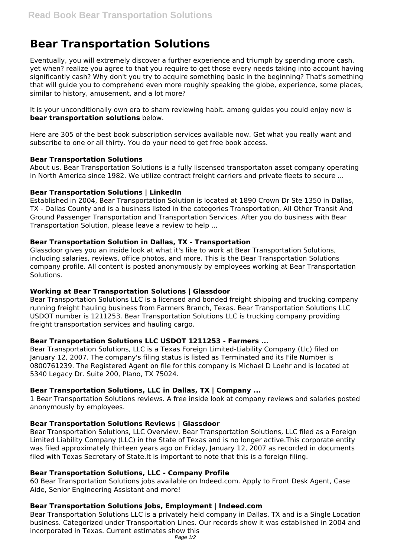# **Bear Transportation Solutions**

Eventually, you will extremely discover a further experience and triumph by spending more cash. yet when? realize you agree to that you require to get those every needs taking into account having significantly cash? Why don't you try to acquire something basic in the beginning? That's something that will guide you to comprehend even more roughly speaking the globe, experience, some places, similar to history, amusement, and a lot more?

It is your unconditionally own era to sham reviewing habit. among guides you could enjoy now is **bear transportation solutions** below.

Here are 305 of the best book subscription services available now. Get what you really want and subscribe to one or all thirty. You do your need to get free book access.

## **Bear Transportation Solutions**

About us. Bear Transportation Solutions is a fully liscensed transportaton asset company operating in North America since 1982. We utilize contract freight carriers and private fleets to secure ...

# **Bear Transportation Solutions | LinkedIn**

Established in 2004, Bear Transportation Solution is located at 1890 Crown Dr Ste 1350 in Dallas, TX - Dallas County and is a business listed in the categories Transportation, All Other Transit And Ground Passenger Transportation and Transportation Services. After you do business with Bear Transportation Solution, please leave a review to help ...

# **Bear Transportation Solution in Dallas, TX - Transportation**

Glassdoor gives you an inside look at what it's like to work at Bear Transportation Solutions, including salaries, reviews, office photos, and more. This is the Bear Transportation Solutions company profile. All content is posted anonymously by employees working at Bear Transportation Solutions.

# **Working at Bear Transportation Solutions | Glassdoor**

Bear Transportation Solutions LLC is a licensed and bonded freight shipping and trucking company running freight hauling business from Farmers Branch, Texas. Bear Transportation Solutions LLC USDOT number is 1211253. Bear Transportation Solutions LLC is trucking company providing freight transportation services and hauling cargo.

# **Bear Transportation Solutions LLC USDOT 1211253 - Farmers ...**

Bear Transportation Solutions, LLC is a Texas Foreign Limited-Liability Company (Llc) filed on January 12, 2007. The company's filing status is listed as Terminated and its File Number is 0800761239. The Registered Agent on file for this company is Michael D Loehr and is located at 5340 Legacy Dr. Suite 200, Plano, TX 75024.

# **Bear Transportation Solutions, LLC in Dallas, TX | Company ...**

1 Bear Transportation Solutions reviews. A free inside look at company reviews and salaries posted anonymously by employees.

# **Bear Transportation Solutions Reviews | Glassdoor**

Bear Transportation Solutions, LLC Overview. Bear Transportation Solutions, LLC filed as a Foreign Limited Liability Company (LLC) in the State of Texas and is no longer active.This corporate entity was filed approximately thirteen years ago on Friday, January 12, 2007 as recorded in documents filed with Texas Secretary of State.It is important to note that this is a foreign filing.

# **Bear Transportation Solutions, LLC - Company Profile**

60 Bear Transportation Solutions jobs available on Indeed.com. Apply to Front Desk Agent, Case Aide, Senior Engineering Assistant and more!

# **Bear Transportation Solutions Jobs, Employment | Indeed.com**

Bear Transportation Solutions LLC is a privately held company in Dallas, TX and is a Single Location business. Categorized under Transportation Lines. Our records show it was established in 2004 and incorporated in Texas. Current estimates show this Page 1/2